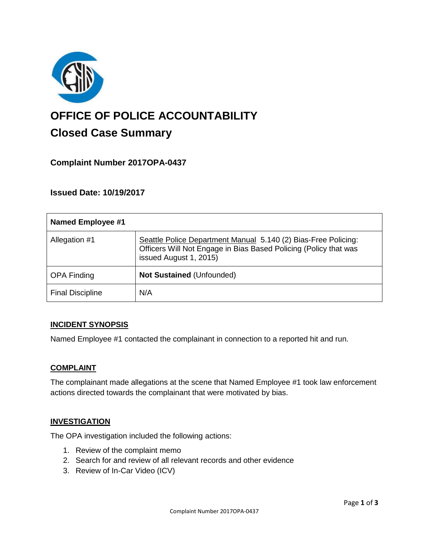

# **OFFICE OF POLICE ACCOUNTABILITY**

# **Closed Case Summary**

# **Complaint Number 2017OPA-0437**

# **Issued Date: 10/19/2017**

| <b>Named Employee #1</b> |                                                                                                                                                              |
|--------------------------|--------------------------------------------------------------------------------------------------------------------------------------------------------------|
| Allegation #1            | Seattle Police Department Manual 5.140 (2) Bias-Free Policing:<br>Officers Will Not Engage in Bias Based Policing (Policy that was<br>issued August 1, 2015) |
| <b>OPA Finding</b>       | <b>Not Sustained (Unfounded)</b>                                                                                                                             |
| <b>Final Discipline</b>  | N/A                                                                                                                                                          |

#### **INCIDENT SYNOPSIS**

Named Employee #1 contacted the complainant in connection to a reported hit and run.

#### **COMPLAINT**

The complainant made allegations at the scene that Named Employee #1 took law enforcement actions directed towards the complainant that were motivated by bias.

#### **INVESTIGATION**

The OPA investigation included the following actions:

- 1. Review of the complaint memo
- 2. Search for and review of all relevant records and other evidence
- 3. Review of In-Car Video (ICV)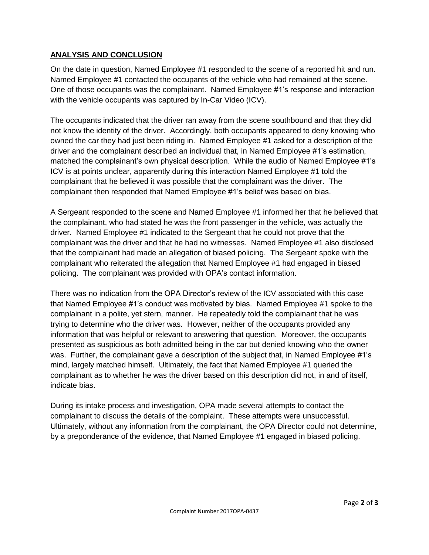### **ANALYSIS AND CONCLUSION**

On the date in question, Named Employee #1 responded to the scene of a reported hit and run. Named Employee #1 contacted the occupants of the vehicle who had remained at the scene. One of those occupants was the complainant. Named Employee #1's response and interaction with the vehicle occupants was captured by In-Car Video (ICV).

The occupants indicated that the driver ran away from the scene southbound and that they did not know the identity of the driver. Accordingly, both occupants appeared to deny knowing who owned the car they had just been riding in. Named Employee #1 asked for a description of the driver and the complainant described an individual that, in Named Employee #1's estimation, matched the complainant's own physical description. While the audio of Named Employee #1's ICV is at points unclear, apparently during this interaction Named Employee #1 told the complainant that he believed it was possible that the complainant was the driver. The complainant then responded that Named Employee #1's belief was based on bias.

A Sergeant responded to the scene and Named Employee #1 informed her that he believed that the complainant, who had stated he was the front passenger in the vehicle, was actually the driver. Named Employee #1 indicated to the Sergeant that he could not prove that the complainant was the driver and that he had no witnesses. Named Employee #1 also disclosed that the complainant had made an allegation of biased policing. The Sergeant spoke with the complainant who reiterated the allegation that Named Employee #1 had engaged in biased policing. The complainant was provided with OPA's contact information.

There was no indication from the OPA Director's review of the ICV associated with this case that Named Employee #1's conduct was motivated by bias. Named Employee #1 spoke to the complainant in a polite, yet stern, manner. He repeatedly told the complainant that he was trying to determine who the driver was. However, neither of the occupants provided any information that was helpful or relevant to answering that question. Moreover, the occupants presented as suspicious as both admitted being in the car but denied knowing who the owner was. Further, the complainant gave a description of the subject that, in Named Employee #1's mind, largely matched himself. Ultimately, the fact that Named Employee #1 queried the complainant as to whether he was the driver based on this description did not, in and of itself, indicate bias.

During its intake process and investigation, OPA made several attempts to contact the complainant to discuss the details of the complaint. These attempts were unsuccessful. Ultimately, without any information from the complainant, the OPA Director could not determine, by a preponderance of the evidence, that Named Employee #1 engaged in biased policing.